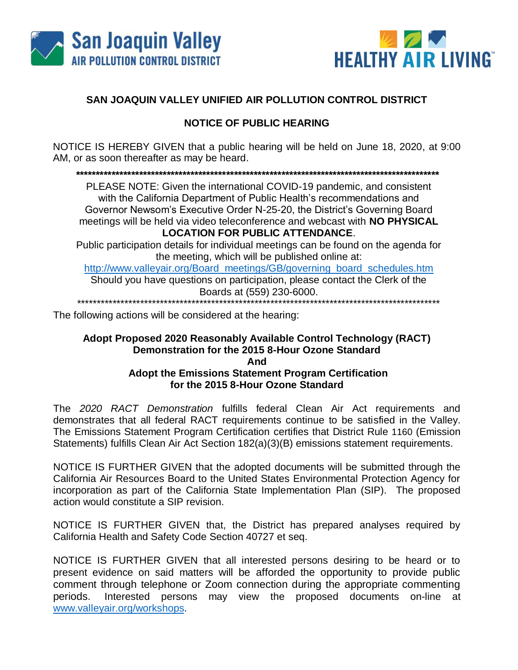



## SAN JOAQUIN VALLEY UNIFIED AIR POLLUTION CONTROL DISTRICT

## **NOTICE OF PUBLIC HEARING**

NOTICE IS HEREBY GIVEN that a public hearing will be held on June 18, 2020, at 9:00 AM, or as soon thereafter as may be heard.

PLEASE NOTE: Given the international COVID-19 pandemic, and consistent with the California Department of Public Health's recommendations and Governor Newsom's Executive Order N-25-20, the District's Governing Board meetings will be held via video teleconference and webcast with NO PHYSICAL **LOCATION FOR PUBLIC ATTENDANCE.** 

Public participation details for individual meetings can be found on the agenda for the meeting, which will be published online at:

http://www.valleyair.org/Board\_meetings/GB/governing\_board\_schedules.htm Should you have questions on participation, please contact the Clerk of the Boards at (559) 230-6000.

\*\*\*\*\*\*\*\*\*\*\*\*\*\*\*\*\*\*\*\*\*\*\*\*\*\*\*

The following actions will be considered at the hearing:

## Adopt Proposed 2020 Reasonably Available Control Technology (RACT) Demonstration for the 2015 8-Hour Ozone Standard **And Adopt the Emissions Statement Program Certification** for the 2015 8-Hour Ozone Standard

The 2020 RACT Demonstration fulfills federal Clean Air Act requirements and demonstrates that all federal RACT requirements continue to be satisfied in the Valley. The Emissions Statement Program Certification certifies that District Rule 1160 (Emission Statements) fulfills Clean Air Act Section 182(a)(3)(B) emissions statement requirements.

NOTICE IS FURTHER GIVEN that the adopted documents will be submitted through the California Air Resources Board to the United States Environmental Protection Agency for incorporation as part of the California State Implementation Plan (SIP). The proposed action would constitute a SIP revision.

NOTICE IS FURTHER GIVEN that, the District has prepared analyses required by California Health and Safety Code Section 40727 et seq.

NOTICE IS FURTHER GIVEN that all interested persons desiring to be heard or to present evidence on said matters will be afforded the opportunity to provide public comment through telephone or Zoom connection during the appropriate commenting Interested persons may view the proposed documents on-line at periods. www.valleyair.org/workshops.